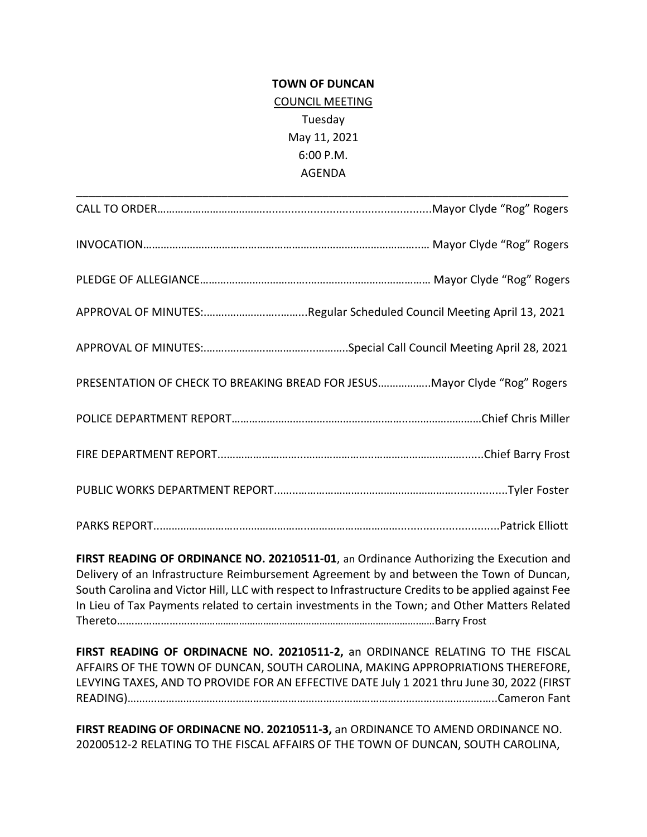## **TOWN OF DUNCAN** COUNCIL MEETING Tuesday May 11, 2021 6:00 P.M. AGENDA

| PRESENTATION OF CHECK TO BREAKING BREAD FOR JESUSMayor Clyde "Rog" Rogers |
|---------------------------------------------------------------------------|
|                                                                           |
|                                                                           |
|                                                                           |
|                                                                           |

**FIRST READING OF ORDINANCE NO. 20210511-01**, an Ordinance Authorizing the Execution and Delivery of an Infrastructure Reimbursement Agreement by and between the Town of Duncan, South Carolina and Victor Hill, LLC with respect to Infrastructure Credits to be applied against Fee In Lieu of Tax Payments related to certain investments in the Town; and Other Matters Related Thereto……………………….……………………………………………………………………….……Barry Frost

**FIRST READING OF ORDINACNE NO. 20210511-2,** an ORDINANCE RELATING TO THE FISCAL AFFAIRS OF THE TOWN OF DUNCAN, SOUTH CAROLINA, MAKING APPROPRIATIONS THEREFORE, LEVYING TAXES, AND TO PROVIDE FOR AN EFFECTIVE DATE July 1 2021 thru June 30, 2022 (FIRST READING)……….……………………………………………………….………………...……….…………….…..Cameron Fant

**FIRST READING OF ORDINACNE NO. 20210511-3,** an ORDINANCE TO AMEND ORDINANCE NO. 20200512-2 RELATING TO THE FISCAL AFFAIRS OF THE TOWN OF DUNCAN, SOUTH CAROLINA,